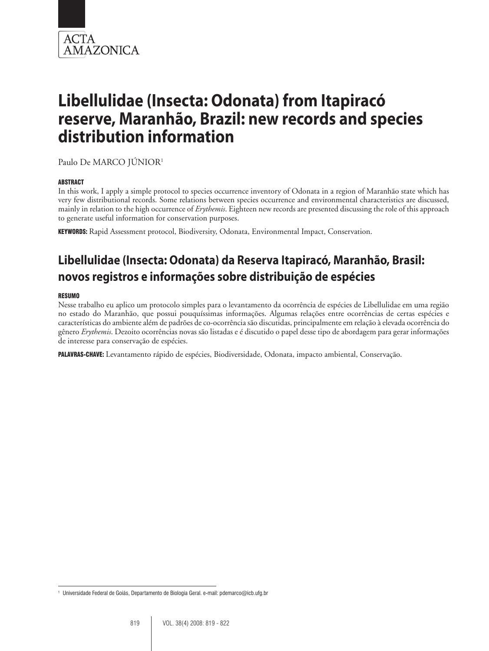

# **Libellulidae (Insecta: Odonata) from Itapiracó reserve, Maranhão, Brazil: new records and species distribution information**

Paulo De MARCO JÚNIOR<sup>1</sup>

# ABSTRACT

In this work, I apply a simple protocol to species occurrence inventory of Odonata in a region of Maranhão state which has very few distributional records. Some relations between species occurrence and environmental characteristics are discussed, mainly in relation to the high occurrence of *Erythemis*. Eighteen new records are presented discussing the role of this approach to generate useful information for conservation purposes.

KEYWORDS: Rapid Assessment protocol, Biodiversity, Odonata, Environmental Impact, Conservation.

# **Libellulidae (Insecta: Odonata) da Reserva Itapiracó, Maranhão, Brasil: novos registros e informações sobre distribuição de espécies**

#### RESUMO

Nesse trabalho eu aplico um protocolo simples para o levantamento da ocorrência de espécies de Libellulidae em uma região no estado do Maranhão, que possui pouquíssimas informações. Algumas relações entre ocorrências de certas espécies e características do ambiente além de padrões de co-ocorrência são discutidas, principalmente em relação à elevada ocorrência do gênero *Erythemis*. Dezoito ocorrências novas são listadas e é discutido o papel desse tipo de abordagem para gerar informações de interesse para conservação de espécies.

PALAVRAS-CHAVE: Levantamento rápido de espécies, Biodiversidade, Odonata, impacto ambiental, Conservação.

<sup>1</sup> Universidade Federal de Goiás, Departamento de Biologia Geral. e-mail: pdemarco@icb.ufg.br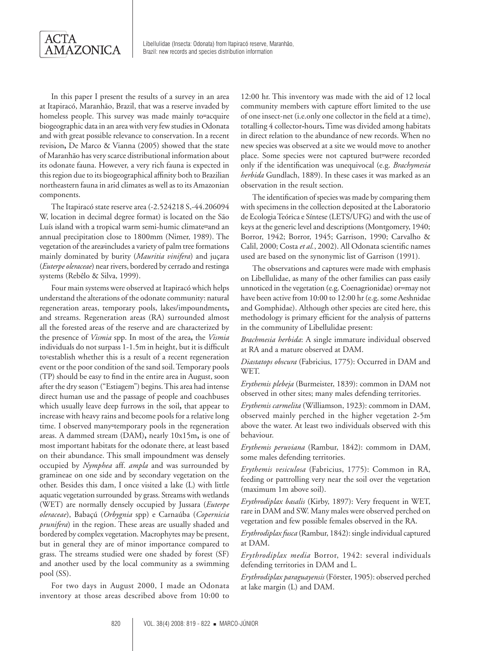

Libellulidae (Insecta: Odonata) from Itapiracó reserve, Maranhão, Brazil: new records and species distribution information

In this paper I present the results of a survey in an area at Itapiracó, Maranhão, Brazil, that was a reserve invaded by homeless people. This survey was made mainly to=acquire biogeographic data in an area with very few studies in Odonata and with great possible relevance to conservation. In a recent revision**,** De Marco & Vianna (2005) showed that the state of Maranhão has very scarce distributional information about its odonate fauna. However, a very rich fauna is expected in this region due to its biogeographical affinity both to Brazilian northeastern fauna in arid climates as well as to its Amazonian components.

The Itapiracó state reserve area (-2.524218 S,-44.206094 W, location in decimal degree format) is located on the São Luís island with a tropical warm semi-humic climate=and an annual precipitation close to 1800mm (Nimer, 1989). The vegetation of the area includes a variety of palm tree formations mainly dominated by burity (*Mauritia vinifera*) and juçara (*Euterpe oleraceae*) near rivers, bordered by cerrado and restinga systems (Rebêlo & Silva, 1999).

Four main systems were observed at Itapiracó which helps understand the alterations of the odonate community: natural regeneration areas, temporary pools, lakes/impoundments**,** and streams. Regeneration areas (RA) surrounded almost all the forested areas of the reserve and are characterized by the presence of *Vismia* spp. In most of the area**,** the *Vismia* individuals do not surpass 1-1.5m in height, but it is difficult to establish whether this is a result of a recent regeneration event or the poor condition of the sand soil. Temporary pools (TP) should be easy to find in the entire area in August, soon after the dry season ("Estiagem") begins. This area had intense direct human use and the passage of people and coachbuses which usually leave deep furrows in the soil**,** that appear to increase with heavy rains and become pools for a relative long time. I observed many-temporary pools in the regeneration areas. A dammed stream (DAM)**,** nearly 10x15m**,** is one of most important habitats for the odonate there, at least based on their abundance. This small impoundment was densely occupied by *Nymphea* aff. *ampla* and was surrounded by gramineae on one side and by secondary vegetation on the other. Besides this dam, I once visited a lake (L) with little aquatic vegetation surrounded by grass. Streams with wetlands (WET) are normally densely occupied by Jussara (*Euterpe oleraceae*), Babaçú (*Orbygnia* spp) e Carnaúba (*Copernicia prunifera*) in the region. These areas are usually shaded and bordered by complex vegetation. Macrophytes may be present, but in general they are of minor importance compared to grass. The streams studied were one shaded by forest (SF) and another used by the local community as a swimming pool (SS).

For two days in August 2000, I made an Odonata inventory at those areas described above from 10:00 to

12:00 hr. This inventory was made with the aid of 12 local community members with capture effort limited to the use of one insect-net (i.e.only one collector in the field at a time), totalling 4 collector**-**hours**.** Time was divided among habitats in direct relation to the abundance of new records. When no new species was observed at a site we would move to another place. Some species were not captured but=were recorded only if the identification was unequivocal (e.g. *Brachymesia herbida* Gundlach, 1889). In these cases it was marked as an observation in the result section.

The identification of species was made by comparing them with specimens in the collection deposited at the Laboratorio de Ecologia Teórica e Síntese (LETS/UFG) and with the use of keys at the generic level and descriptions (Montgomery, 1940; Borror, 1942; Borror, 1945; Garrison, 1990; Carvalho & Calil, 2000; Costa *et al.*, 2002). All Odonata scientific names used are based on the synonymic list of Garrison (1991).

The observations and captures were made with emphasis on Libellulidae, as many of the other families can pass easily unnoticed in the vegetation (e.g. Coenagrionidae) or=may not have been active from 10:00 to 12:00 hr (e.g. some Aeshnidae and Gomphidae). Although other species are cited here, this methodology is primary efficient for the analysis of patterns in the community of Libellulidae present:

*Brachmesia herbida*: A single immature individual observed at RA and a mature observed at DAM.

*Diastatops obscura* (Fabricius, 1775): Occurred in DAM and WET.

*Erythemis plebeja* (Burmeister, 1839): common in DAM not observed in other sites; many males defending territories.

*Erythemis carmelita* (Williamson, 1923): commom in DAM, observed mainly perched in the higher vegetation 2-5m above the water. At least two individuals observed with this behaviour.

*Erythemis peruviana* (Rambur, 1842): commom in DAM, some males defending territories.

*Erythemis vesiculosa* (Fabricius, 1775): Common in RA, feeding or pattrolling very near the soil over the vegetation (maximum 1m above soil).

*Erythrodiplax basalis* (Kirby, 1897): Very frequent in WET, rare in DAM and SW. Many males were observed perched on vegetation and few possible females observed in the RA.

*Erythrodiplax fusca* (Rambur, 1842): single individual captured at DAM.

*Erythrodiplax media* Borror, 1942: several individuals defending territories in DAM and L.

*Erythrodiplax paraguayensis* (Förster, 1905): observed perched at lake margin (L) and DAM.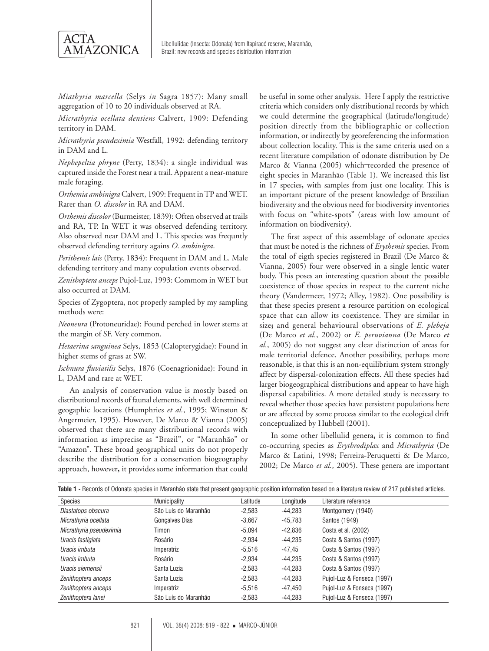

*Miathyria marcella* (Selys *in* Sagra 1857): Many small aggregation of 10 to 20 individuals observed at RA.

*Micrathyria ocellata dentiens* Calvert, 1909: Defending territory in DAM.

*Micrathyria pseudeximia* Westfall, 1992: defending territory in DAM and L.

*Nephepeltia phryne* (Perty, 1834): a single individual was captured inside the Forest near a trail. Apparent a near-mature male foraging.

*Orthemia ambinigra* Calvert, 1909: Frequent in TP and WET. Rarer than *O. discolor* in RA and DAM.

*Orthemis discolor* (Burmeister, 1839): Often observed at trails and RA, TP. In WET it was observed defending territory. Also observed near DAM and L. This species was frequntly observed defending territory agains *O. ambinigra*.

*Perithemis lais* (Perty, 1834): Frequent in DAM and L. Male defending territory and many copulation events observed.

*Zenithoptera anceps* Pujol-Luz, 1993: Commom in WET but also occurred at DAM.

Species of Zygoptera, not properly sampled by my sampling methods were:

*Neoneura* (Protoneuridae): Found perched in lower stems at the margin of SF. Very common.

*Hetaerina sanguinea* Selys, 1853 (Calopterygidae): Found in higher stems of grass at SW.

*Ischnura fluviatilis* Selys, 1876 (Coenagrionidae): Found in L, DAM and rare at WET.

An analysis of conservation value is mostly based on distributional records of faunal elements, with well determined geogaphic locations (Humphries *et al.*, 1995; Winston & Angermeier, 1995). However, De Marco & Vianna (2005) observed that there are many distributional records with information as imprecise as "Brazil", or "Maranhão" or "Amazon". These broad geographical units do not properly describe the distribution for a conservation biogeography approach, however**,** it provides some information that could

be useful in some other analysis. Here I apply the restrictive criteria which considers only distributional records by which we could determine the geographical (latitude/longitude) position directly from the bibliographic or collection information, or indirectly by georeferencing the information about collection locality. This is the same criteria used on a recent literature compilation of odonate distribution by De Marco & Vianna (2005) which=recorded the presence of eight species in Maranhão (Table 1). We increased this list in 17 species**,** with samples from just one locality. This is an important picture of the present knowledge of Brazilian biodiversity and the obvious need for biodiversity inventories with focus on "white-spots" (areas with low amount of information on biodiversity).

The first aspect of this assemblage of odonate species that must be noted is the richness of *Erythemis* species. From the total of eigth species registered in Brazil (De Marco & Vianna, 2005) four were observed in a single lentic water body. This poses an interesting question about the possible coexistence of those species in respect to the current niche theory (Vandermeer, 1972; Alley, 1982). One possibility is that these species present a resource partition on ecological space that can allow its coexistence. They are similar in size**;** and general behavioural observations of *E. plebeja* (De Marco *et al.*, 2002) or *E. peruvianna* (De Marco *et al.*, 2005) do not suggest any clear distinction of areas for male territorial defence. Another possibility, perhaps more reasonable, is that this is an non-equilibrium system strongly affect by dispersal-colonization effects. All these species had larger biogeographical distributions and appear to have high dispersal capabilities. A more detailed study is necessary to reveal whether those species have persistent populations here or are affected by some process similar to the ecological drift conceptualized by Hubbell (2001).

In some other libellulid genera**,** it is common to find co-occurring species as *Erythrodiplax* and *Micrathyria* (De Marco & Latini, 1998; Ferreira-Peruquetti & De Marco, 2002; De Marco *et al.*, 2005). These genera are important

|  |  | Table 1 - Records of Odonata species in Maranhão state that present geographic position information based on a literature review of 217 published articles. |
|--|--|-------------------------------------------------------------------------------------------------------------------------------------------------------------|
|  |  |                                                                                                                                                             |

| Species                 | Municipality          | Latitude | Longitude | Literature reference       |
|-------------------------|-----------------------|----------|-----------|----------------------------|
| Diastatops obscura      | São Luis do Maranhão  | $-2.583$ | $-44.283$ | Montgomery (1940)          |
| Micrathyria ocellata    | <b>Goncalves Dias</b> | $-3.667$ | $-45.783$ | Santos (1949)              |
| Micrathyria pseudeximia | Timon                 | $-5.094$ | $-42.836$ | Costa et al. (2002)        |
| Uracis fastigiata       | Rosário               | $-2.934$ | -44.235   | Costa & Santos (1997)      |
| Uracis imbuta           | Imperatriz            | $-5.516$ | -47,45    | Costa & Santos (1997)      |
| Uracis imbuta           | Rosário               | $-2.934$ | -44.235   | Costa & Santos (1997)      |
| Uracis siemensii        | Santa Luzia           | $-2.583$ | $-44,283$ | Costa & Santos (1997)      |
| Zenithoptera anceps     | Santa Luzia           | $-2.583$ | $-44.283$ | Pujol-Luz & Fonseca (1997) |
| Zenithoptera anceps     | Imperatriz            | $-5.516$ | $-47,450$ | Pujol-Luz & Fonseca (1997) |
| Zenithoptera lanei      | São Luís do Maranhão  | $-2,583$ | $-44,283$ | Pujol-Luz & Fonseca (1997) |